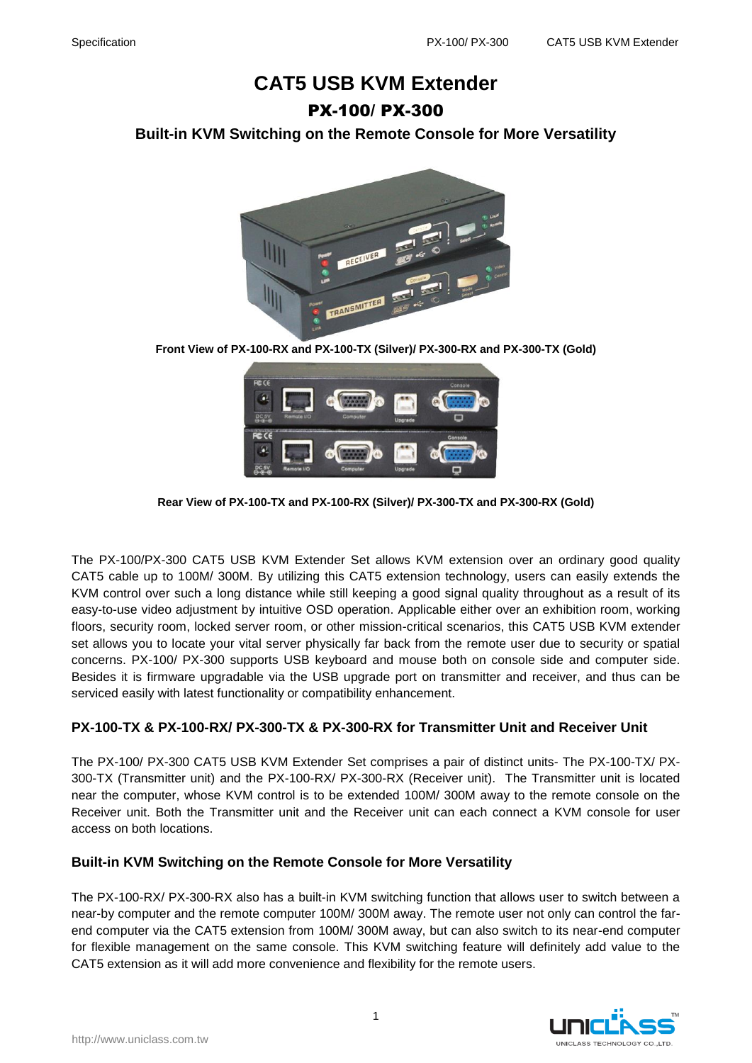# **CAT5 USB KVM Extender** PX-100/ PX-300

**Built-in KVM Switching on the Remote Console for More Versatility**



**Front View of PX-100-RX and PX-100-TX (Silver)/ PX-300-RX and PX-300-TX (Gold)**



**Rear View of PX-100-TX and PX-100-RX (Silver)/ PX-300-TX and PX-300-RX (Gold)**

The PX-100/PX-300 CAT5 USB KVM Extender Set allows KVM extension over an ordinary good quality CAT5 cable up to 100M/ 300M. By utilizing this CAT5 extension technology, users can easily extends the KVM control over such a long distance while still keeping a good signal quality throughout as a result of its easy-to-use video adjustment by intuitive OSD operation. Applicable either over an exhibition room, working floors, security room, locked server room, or other mission-critical scenarios, this CAT5 USB KVM extender set allows you to locate your vital server physically far back from the remote user due to security or spatial concerns. PX-100/ PX-300 supports USB keyboard and mouse both on console side and computer side. Besides it is firmware upgradable via the USB upgrade port on transmitter and receiver, and thus can be serviced easily with latest functionality or compatibility enhancement.

#### **PX-100-TX & PX-100-RX/ PX-300-TX & PX-300-RX for Transmitter Unit and Receiver Unit**

The PX-100/ PX-300 CAT5 USB KVM Extender Set comprises a pair of distinct units- The PX-100-TX/ PX-300-TX (Transmitter unit) and the PX-100-RX/ PX-300-RX (Receiver unit). The Transmitter unit is located near the computer, whose KVM control is to be extended 100M/ 300M away to the remote console on the Receiver unit. Both the Transmitter unit and the Receiver unit can each connect a KVM console for user access on both locations.

#### **Built-in KVM Switching on the Remote Console for More Versatility**

The PX-100-RX/ PX-300-RX also has a built-in KVM switching function that allows user to switch between a near-by computer and the remote computer 100M/ 300M away. The remote user not only can control the farend computer via the CAT5 extension from 100M/ 300M away, but can also switch to its near-end computer for flexible management on the same console. This KVM switching feature will definitely add value to the CAT5 extension as it will add more convenience and flexibility for the remote users.

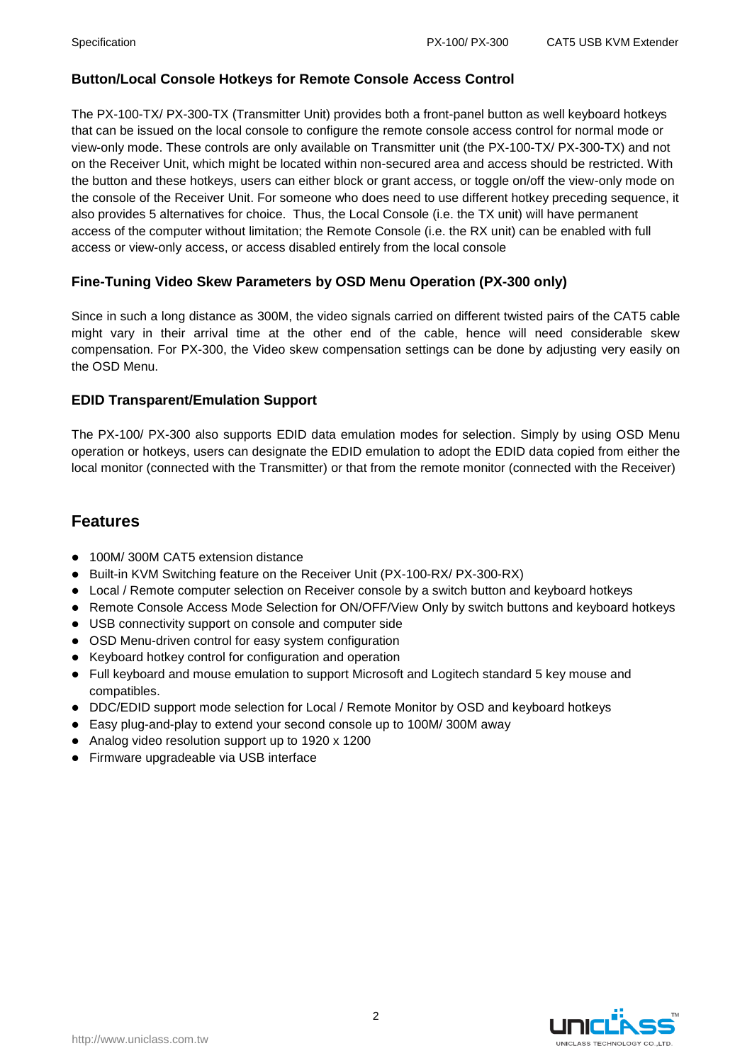#### **Button/Local Console Hotkeys for Remote Console Access Control**

The PX-100-TX/ PX-300-TX (Transmitter Unit) provides both a front-panel button as well keyboard hotkeys that can be issued on the local console to configure the remote console access control for normal mode or view-only mode. These controls are only available on Transmitter unit (the PX-100-TX/ PX-300-TX) and not on the Receiver Unit, which might be located within non-secured area and access should be restricted. With the button and these hotkeys, users can either block or grant access, or toggle on/off the view-only mode on the console of the Receiver Unit. For someone who does need to use different hotkey preceding sequence, it also provides 5 alternatives for choice. Thus, the Local Console (i.e. the TX unit) will have permanent access of the computer without limitation; the Remote Console (i.e. the RX unit) can be enabled with full access or view-only access, or access disabled entirely from the local console

#### **Fine-Tuning Video Skew Parameters by OSD Menu Operation (PX-300 only)**

Since in such a long distance as 300M, the video signals carried on different twisted pairs of the CAT5 cable might vary in their arrival time at the other end of the cable, hence will need considerable skew compensation. For PX-300, the Video skew compensation settings can be done by adjusting very easily on the OSD Menu.

#### **EDID Transparent/Emulation Support**

The PX-100/ PX-300 also supports EDID data emulation modes for selection. Simply by using OSD Menu operation or hotkeys, users can designate the EDID emulation to adopt the EDID data copied from either the local monitor (connected with the Transmitter) or that from the remote monitor (connected with the Receiver)

### **Features**

- 100M/300M CAT5 extension distance
- Built-in KVM Switching feature on the Receiver Unit (PX-100-RX/ PX-300-RX)
- Local / Remote computer selection on Receiver console by a switch button and keyboard hotkeys
- Remote Console Access Mode Selection for ON/OFF/View Only by switch buttons and keyboard hotkeys
- USB connectivity support on console and computer side
- OSD Menu-driven control for easy system configuration
- Keyboard hotkey control for configuration and operation
- Full keyboard and mouse emulation to support Microsoft and Logitech standard 5 key mouse and compatibles.
- DDC/EDID support mode selection for Local / Remote Monitor by OSD and keyboard hotkeys
- Easy plug-and-play to extend your second console up to 100M/ 300M away
- Analog video resolution support up to 1920 x 1200
- Firmware upgradeable via USB interface